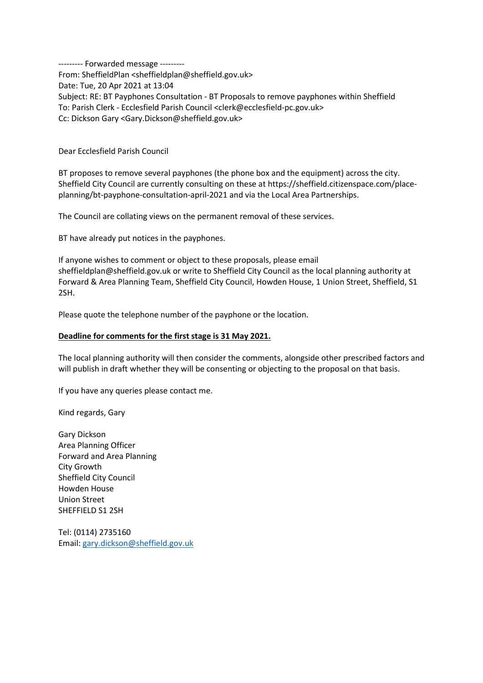--------- Forwarded message --------- From: SheffieldPlan <sheffieldplan@sheffield.gov.uk> Date: Tue, 20 Apr 2021 at 13:04 Subject: RE: BT Payphones Consultation - BT Proposals to remove payphones within Sheffield To: Parish Clerk - Ecclesfield Parish Council <clerk@ecclesfield-pc.gov.uk> Cc: Dickson Gary <Gary.Dickson@sheffield.gov.uk>

## Dear Ecclesfield Parish Council

BT proposes to remove several payphones (the phone box and the equipment) across the city. Sheffield City Council are currently consulting on these at https://sheffield.citizenspace.com/placeplanning/bt-payphone-consultation-april-2021 and via the Local Area Partnerships.

The Council are collating views on the permanent removal of these services.

BT have already put notices in the payphones.

If anyone wishes to comment or object to these proposals, please email sheffieldplan@sheffield.gov.uk or write to Sheffield City Council as the local planning authority at Forward & Area Planning Team, Sheffield City Council, Howden House, 1 Union Street, Sheffield, S1 2SH.

Please quote the telephone number of the payphone or the location.

## Deadline for comments for the first stage is 31 May 2021.

The local planning authority will then consider the comments, alongside other prescribed factors and will publish in draft whether they will be consenting or objecting to the proposal on that basis.

If you have any queries please contact me.

Kind regards, Gary

Gary Dickson Area Planning Officer Forward and Area Planning City Growth Sheffield City Council Howden House Union Street SHEFFIELD S1 2SH

Tel: (0114) 2735160 Email: gary.dickson@sheffield.gov.uk